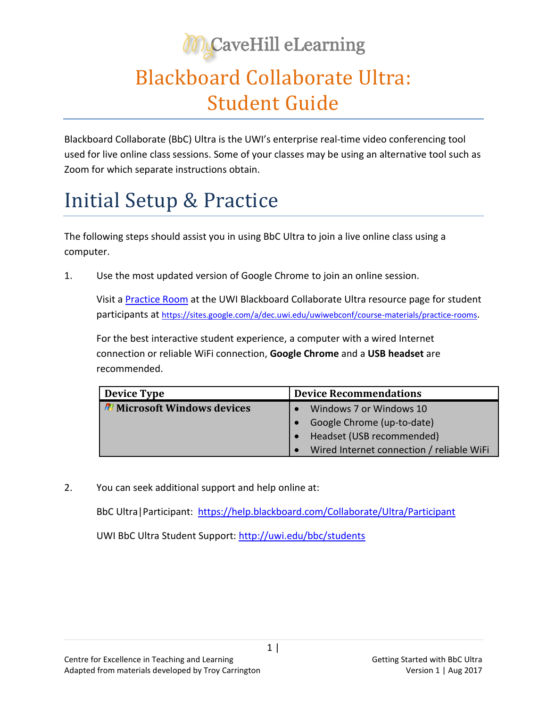## **McaveHill eLearning**

## Blackboard Collaborate Ultra: Student Guide

Blackboard Collaborate (BbC) Ultra is the UWI's enterprise real-time video conferencing tool used for live online class sessions. Some of your classes may be using an alternative tool such as Zoom for which separate instructions obtain.

## Initial Setup & Practice

The following steps should assist you in using BbC Ultra to join a live online class using a computer.

1. Use the most updated version of Google Chrome to join an online session.

Visit a [Practice Room](https://sites.google.com/a/dec.uwi.edu/uwiwebconf/course-materials/practice-rooms) at the UWI Blackboard Collaborate Ultra resource page for student participants at <https://sites.google.com/a/dec.uwi.edu/uwiwebconf/course-materials/practice-rooms>.

For the best interactive student experience, a computer with a wired Internet connection or reliable WiFi connection, **Google Chrome** and a **USB headset** are recommended.

| <b>Device Type</b>                        | <b>Device Recommendations</b>             |
|-------------------------------------------|-------------------------------------------|
| <b><i>N</i></b> Microsoft Windows devices | Windows 7 or Windows 10                   |
|                                           | Google Chrome (up-to-date)                |
|                                           | Headset (USB recommended)                 |
|                                           | Wired Internet connection / reliable WiFi |

2. You can seek additional support and help online at:

BbC Ultra|Participant: <https://help.blackboard.com/Collaborate/Ultra/Participant> UWI BbC Ultra Student Support:<http://uwi.edu/bbc/students>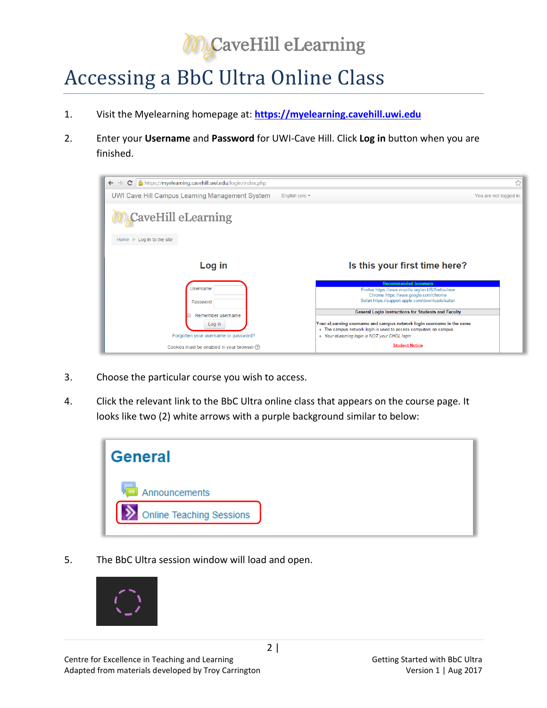

## Accessing a BbC Ultra Online Class

- 1. Visit the Myelearning homepage at: **[https://myelearning.cavehill.uwi.edu](https://myelearning.cavehill.uwi.edu/)**
- 2. Enter your **Username** and **Password** for UWI-Cave Hill. Click **Log in** button when you are finished.



- 3. Choose the particular course you wish to access.
- 4. Click the relevant link to the BbC Ultra online class that appears on the course page. It looks like two (2) white arrows with a purple background similar to below:



5. The BbC Ultra session window will load and open.

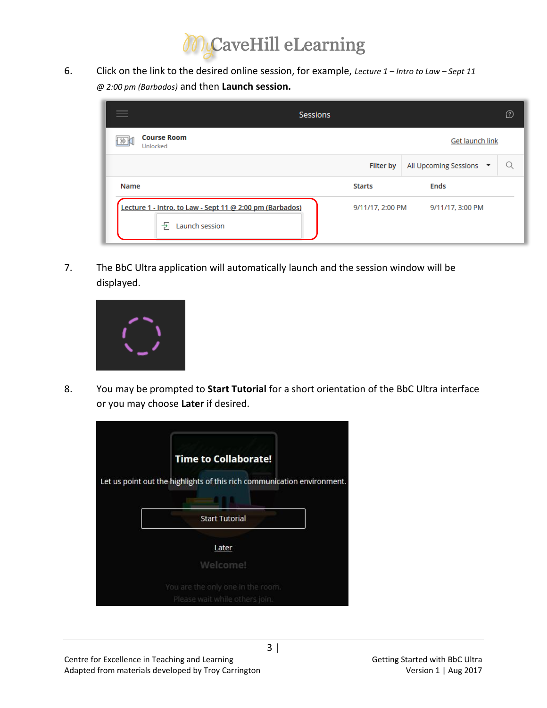

6. Click on the link to the desired online session, for example, *Lecture 1 – Intro to Law – Sept 11 @ 2:00 pm (Barbados)* and then **Launch session.**

| <b>Sessions</b>                                                                             |                  |                         | D |
|---------------------------------------------------------------------------------------------|------------------|-------------------------|---|
| <b>Course Room</b><br>Get launch link<br>Unlocked                                           |                  |                         |   |
|                                                                                             | <b>Filter by</b> | All Upcoming Sessions ▼ |   |
| Name                                                                                        | <b>Starts</b>    | <b>Ends</b>             |   |
| Lecture 1 - Intro. to Law - Sept 11 @ 2:00 pm (Barbados)<br>$\rightarrow$<br>Launch session | 9/11/17, 2:00 PM | 9/11/17, 3:00 PM        |   |

7. The BbC Ultra application will automatically launch and the session window will be displayed.



8. You may be prompted to **Start Tutorial** for a short orientation of the BbC Ultra interface or you may choose **Later** if desired.

| <b>Time to Collaborate!</b><br>Let us point out the highlights of this rich communication environment. |  |
|--------------------------------------------------------------------------------------------------------|--|
| <b>Start Tutorial</b>                                                                                  |  |
| Later<br>Welcome!                                                                                      |  |
| You are the only one in the room.<br>Please wait while others join.                                    |  |